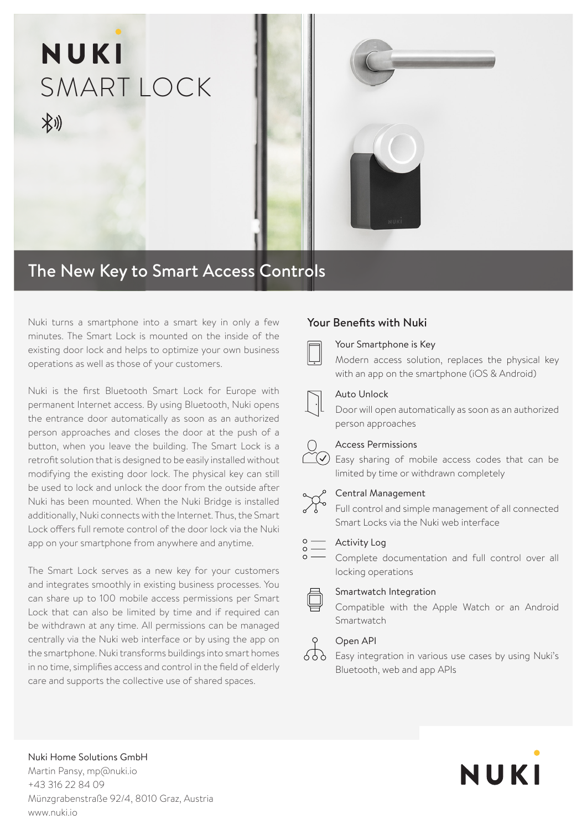

# The New Key to Smart Access Controls

Nuki turns a smartphone into a smart key in only a few Your Benefits with Nuki minutes. The Smart Lock is mounted on the inside of the existing door lock and helps to optimize your own business operations as well as those of your customers.

Nuki is the first Bluetooth Smart Lock for Europe with permanent Internet access. By using Bluetooth, Nuki opens the entrance door automatically as soon as an authorized person approaches and closes the door at the push of a button, when you leave the building. The Smart Lock is a retrofit solution that is designed to be easily installed without modifying the existing door lock. The physical key can still be used to lock and unlock the door from the outside after Nuki has been mounted. When the Nuki Bridge is installed additionally, Nuki connects with the Internet. Thus, the Smart Lock offers full remote control of the door lock via the Nuki app on your smartphone from anywhere and anytime.

The Smart Lock serves as a new key for your customers and integrates smoothly in existing business processes. You can share up to 100 mobile access permissions per Smart Lock that can also be limited by time and if required can be withdrawn at any time. All permissions can be managed centrally via the Nuki web interface or by using the app on the smartphone. Nuki transforms buildings into smart homes in no time, simplifies access and control in the field of elderly care and supports the collective use of shared spaces.



#### Your Smartphone is Key

Modern access solution, replaces the physical key with an app on the smartphone (iOS & Android)

#### Auto Unlock

Door will open automatically as soon as an authorized person approaches

#### Access Permissions

 $\tilde{C}($  Easy sharing of mobile access codes that can be limited by time or withdrawn completely



#### Central Management

Full control and simple management of all connected Smart Locks via the Nuki web interface

#### $\begin{matrix} 0 \\ 0 \\ 0 \\ 0 \end{matrix}$ Activity Log

Complete documentation and full control over all locking operations

#### Smartwatch Integration

Compatible with the Apple Watch or an Android Smartwatch

#### Open API

Soo Upen Ari<br>
Soo Easy integration in various use cases by using Nuki's Bluetooth, web and app APIs

Nuki Home Solutions GmbH Martin Pansy, mp@nuki.io +43 316 22 84 09 Münzgrabenstraße 92/4, 8010 Graz, Austria www.nuki.io